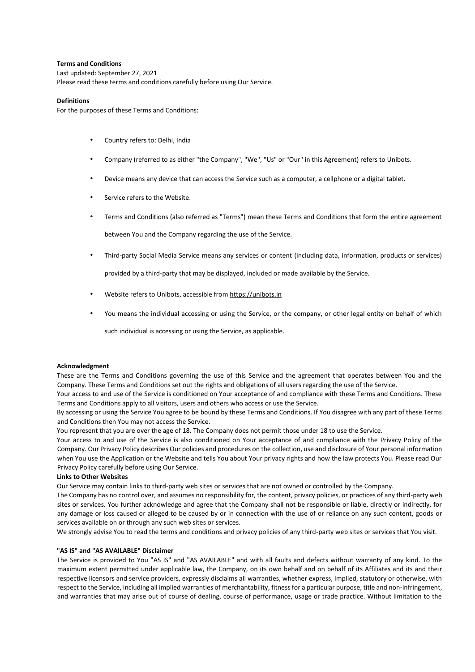## **Terms and Conditions**

Last updated: September 27, 2021 Please read these terms and conditions carefully before using Our Service.

#### **Definitions**

For the purposes of these Terms and Conditions:

- Country refers to: Delhi, India
- Company (referred to as either "the Company", "We", "Us" or "Our" in this Agreement) refers to Unibots.
- Device means any device that can access the Service such as a computer, a cellphone or a digital tablet.
- Service refers to the Website.
- Terms and Conditions (also referred as "Terms") mean these Terms and Conditions that form the entire agreement between You and the Company regarding the use of the Service.
- Third-party Social Media Service means any services or content (including data, information, products or services)

provided by a third-party that may be displayed, included or made available by the Service.

- Website refers to Unibots, accessible fr[om https://unibots.in](https://unibots.in/)
- You means the individual accessing or using the Service, or the company, or other legal entity on behalf of which

such individual is accessing or using the Service, as applicable.

#### **Acknowledgment**

These are the Terms and Conditions governing the use of this Service and the agreement that operates between You and the Company. These Terms and Conditions set out the rights and obligations of all users regarding the use of the Service.

Your access to and use of the Service is conditioned on Your acceptance of and compliance with these Terms and Conditions. These Terms and Conditions apply to all visitors, users and others who access or use the Service.

By accessing or using the Service You agree to be bound by these Terms and Conditions. If You disagree with any part of these Terms and Conditions then You may not access the Service.

You represent that you are over the age of 18. The Company does not permit those under 18 to use the Service.

Your access to and use of the Service is also conditioned on Your acceptance of and compliance with the Privacy Policy of the Company. Our Privacy Policy describes Our policies and procedures on the collection, use and disclosure of Your personal information when You use the Application or the Website and tells You about Your privacy rights and how the law protects You. Please read Our Privacy Policy carefully before using Our Service.

## **Links to Other Websites**

Our Service may contain links to third-party web sites or services that are not owned or controlled by the Company.

The Company has no control over, and assumes no responsibility for, the content, privacy policies, or practices of any third-party web sites or services. You further acknowledge and agree that the Company shall not be responsible or liable, directly or indirectly, for any damage or loss caused or alleged to be caused by or in connection with the use of or reliance on any such content, goods or services available on or through any such web sites or services.

We strongly advise You to read the terms and conditions and privacy policies of any third-party web sites or services that You visit.

#### **"AS IS" and "AS AVAILABLE" Disclaimer**

The Service is provided to You "AS IS" and "AS AVAILABLE" and with all faults and defects without warranty of any kind. To the maximum extent permitted under applicable law, the Company, on its own behalf and on behalf of its Affiliates and its and their respective licensors and service providers, expressly disclaims all warranties, whether express, implied, statutory or otherwise, with respect to the Service, including all implied warranties of merchantability, fitness for a particular purpose, title and non-infringement, and warranties that may arise out of course of dealing, course of performance, usage or trade practice. Without limitation to the